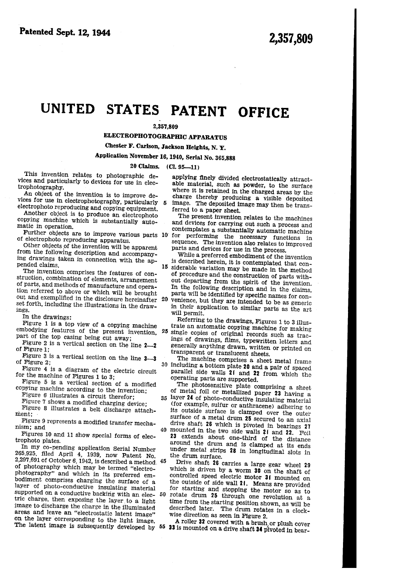## UNITED STATES PATENT OFFICE

## 2,357,809

ELECTROPHOTOGRAPHIC APPARATUS

Chester F. Carlson, Jackson Heights, N. Y.

Application November 16, 1940, Serial No. 365,888

-5

20 Claims. (Cl. 95-11)

This invention relates to photographic de vices and particularly to devices for use in electrophotography.

An object of the invention is to improve de vices for use in electrophotography, particularly electrophoto reproducing and copying equipment.

Another object is to produce an electrophoto copying machine which is substantially auto matic in operation.

Further objects are to improve various parts 10 for performing the necessary functions in of electrophoto reproducing apparatus.

Other objects of the invention will be apparent from the following description and accompany ing drawings taken in connection with the appended claims.

The invention comprises the features of con struction, combination of elements, arrangement of parts, and methods of manufacture and opera tion referred to above or which will be brought out and exemplified in the disclosure hereinafter set forth, including the illustrations in the draw-<br>ings.

In the drawings:

Figure 1 is a top view of a copying machine embodying features of the present invention, part of the top casing being cut away;

Figure 2 is a vertical section on the line  $2$ of Figure 1;

Figure 3 is a vertical section on the line 3-3 of Figure 2;

- Figure 4 is a diagram of the electric circuit for the machine of Figures 1 to 3;
- Figure 5 is a vertical section of a modified copying machine according to the invention;

Figure 6 illustrates a circuit therefor;

Figure 7 shows a modified charging device;

Figure 8 illustrates a belt discharge attachment;

Figure 9 represents a modified transfer mecha nism; and

Figures 10 and 11 show special forms of elec trophoto plates.

In my co-pending application Serial Number 265,925, ñled April 4, 1939, now Patent No.  $2,291,091$  of October 6, 1942, is described a method,  $45$ of photography which may be termed "electro photography" and which in its preferred em-<br>bodiment comprises charging the surface of a layer of photo-conductive insulating material supported on a conductive backing with an elec-  $50$  rotate drum 25 through one revolution at a strict charge then exposing the large that  $\frac{1}{2}$ tric charge, then exposing the layer to a light<br>image to discharge the charge in the illuminated areas and leave an "electrostatic latent image" on the layer corresponding to the light image.

applying finely divided electrostatically attract able material, such as powder, to the surface where it is retained in the charged areas by the charge thereby producing a visible deposited image. The deposited image may then be trans ferred to a paper sheet.

The present invention relates to the machines and devices for- carrying out such a process and contemplates a substantially automatic machine

sequence. The invention also relates to improved parts and devices for use in the process.

While a preferred embodiment of the invention<br>is described herein, it is contemplated that con-15 siderable variation may be made in the method of procedure and the construction of parts with out departing from the spirit of the invention. In the following description and in the claims, parts will be identified by specific names for con 20 venience, but they are intended to be as generic in their application to similar parts as the art will permit.

Referring to the drawings, Figures 1 to 3 illus trate an automatic copying machine for making

25 single copies of original records such as trac ings of drawings, films, typewritten letters and generally anything drawn, written or printed on transparent or translucent sheets.

30 including a bottom plate 20 and a pair of spaced The machine comprises a sheet metal frame parallel side walls 21 and 22 from which the operating parts are supported.

The photosensitive plate comprising a sheet of metal foil or metallized paper 23 having a layer 24 of photo-conductive insulating material

- (for example, sulfur or anthracene) adhering to its outside surface is clamped over the outer surface of a metal drum 25 secured to an axial drive shaft 26 which is pivoted in bearings 27
- 40 mounted in the two side walls 2| and 22. Foil 23 extends about one-third of the distance around the drum and is clamped at its ends under metal strips 28 in longitudinal slots in the drum surface.

Drive shaft 26 carries a large gear wheel 29 which is driven by a worm 30 on the shaft of controlled speed electric motor 31 mounted on the outside of side wall 21. Means are provided for starting and stopping the motor so as to

time from the starting position shown, as will be described later. The drum rotates in a clock wise direction as seen in Figure 2.<br>A roller 32 covered with a brush or plush cover

The latent image is subsequently developed by  $55$  33 is mounted on a drive shaft 34 pivoted in bear-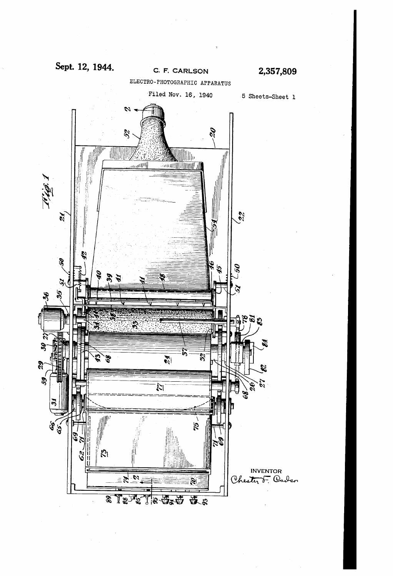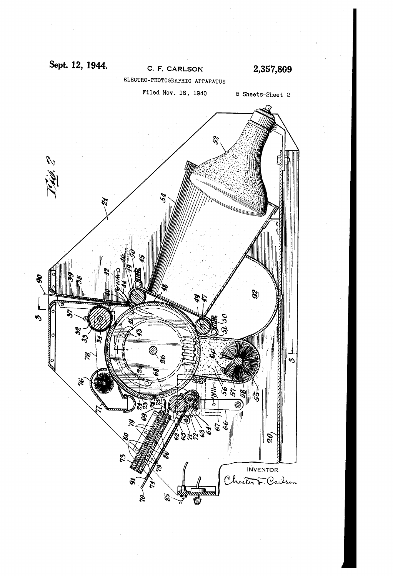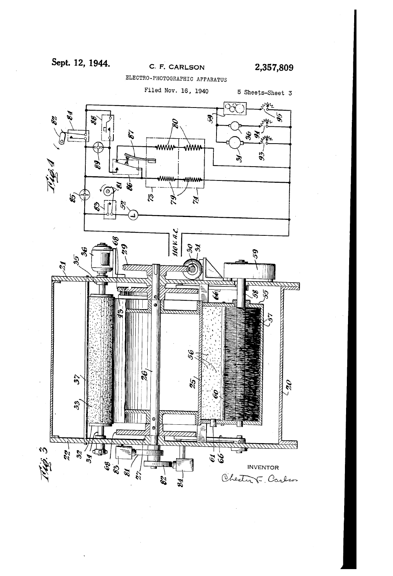## Sept. 12, 1944.

## C. F. CARLSON

2,357,809

ELECTRO-PHOTOGRAPHIC APPARATUS

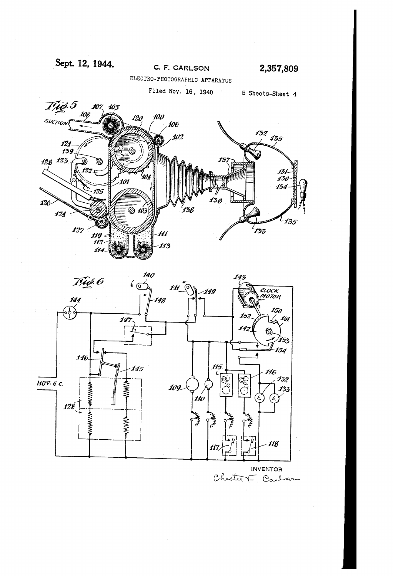Sept. 12, 1944.





Chester F. Carlson